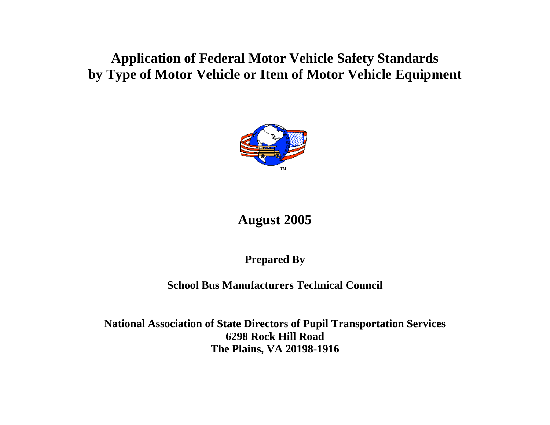## **Application of Federal Motor Vehicle Safety Standards by Type of Motor Vehicle or Item of Motor Vehicle Equipment**



# **August 2005**

**Prepared By** 

### **School Bus Manufacturers Technical Council**

**National Ass ociation of State Directors of Pupil Transportation Services 6298 Rock Hill Road The Plains, VA 20198-1916**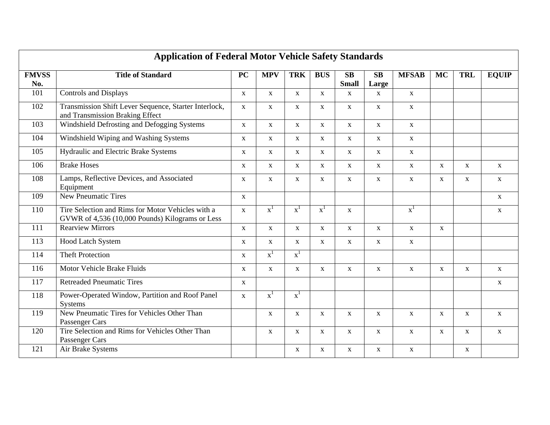| <b>Application of Federal Motor Vehicle Safety Standards</b> |                                                                                                      |              |                |                |                |                    |              |                |              |              |              |
|--------------------------------------------------------------|------------------------------------------------------------------------------------------------------|--------------|----------------|----------------|----------------|--------------------|--------------|----------------|--------------|--------------|--------------|
| <b>FMVSS</b><br>No.                                          | <b>Title of Standard</b>                                                                             | <b>PC</b>    | <b>MPV</b>     | <b>TRK</b>     | <b>BUS</b>     | SB<br><b>Small</b> | SB<br>Large  | <b>MFSAB</b>   | <b>MC</b>    | <b>TRL</b>   | <b>EQUIP</b> |
| 101                                                          | <b>Controls and Displays</b>                                                                         | $\mathbf X$  | $\mathbf{X}$   | $\mathbf{X}$   | $\mathbf{X}$   | $\mathbf X$        | $\mathbf X$  | $\mathbf X$    |              |              |              |
| 102                                                          | Transmission Shift Lever Sequence, Starter Interlock,<br>and Transmission Braking Effect             | $\mathbf{X}$ | $\mathbf{X}$   | $\mathbf{X}$   | $\mathbf{X}$   | $\mathbf{X}$       | $\mathbf{X}$ | $\mathbf X$    |              |              |              |
| 103                                                          | Windshield Defrosting and Defogging Systems                                                          | $\mathbf X$  | $\mathbf X$    | $\mathbf X$    | $\mathbf X$    | $\mathbf X$        | $\mathbf X$  | $\mathbf X$    |              |              |              |
| 104                                                          | Windshield Wiping and Washing Systems                                                                | $\mathbf{X}$ | $\mathbf{X}$   | $\mathbf{X}$   | $\mathbf{X}$   | $\mathbf{X}$       | $\mathbf{X}$ | $\mathbf X$    |              |              |              |
| 105                                                          | Hydraulic and Electric Brake Systems                                                                 | $\mathbf{X}$ | $\mathbf X$    | $\mathbf X$    | $\mathbf{X}$   | $\mathbf X$        | $\mathbf X$  | $\mathbf X$    |              |              |              |
| 106                                                          | <b>Brake Hoses</b>                                                                                   | $\mathbf{X}$ | $\mathbf{X}$   | $\mathbf{X}$   | $\mathbf{X}$   | $\mathbf{X}$       | $\mathbf{X}$ | $\mathbf{X}$   | $\mathbf{X}$ | $\mathbf{X}$ | $\mathbf{X}$ |
| 108                                                          | Lamps, Reflective Devices, and Associated<br>Equipment                                               | $\mathbf X$  | $\mathbf X$    | $\mathbf X$    | $\mathbf X$    | $\mathbf{X}$       | $\mathbf X$  | $\mathbf X$    | $\mathbf X$  | $\mathbf X$  | $\mathbf X$  |
| 109                                                          | <b>New Pneumatic Tires</b>                                                                           | $\mathbf{X}$ |                |                |                |                    |              |                |              |              | $\mathbf{X}$ |
| 110                                                          | Tire Selection and Rims for Motor Vehicles with a<br>GVWR of 4,536 (10,000 Pounds) Kilograms or Less | $\mathbf{X}$ | $\mathbf{x}^1$ | $\mathbf{x}^1$ | $\mathbf{x}^1$ | $\mathbf X$        |              | $\mathbf{x}^1$ |              |              | $\mathbf X$  |
| 111                                                          | <b>Rearview Mirrors</b>                                                                              | $\mathbf{X}$ | $\mathbf{X}$   | $\mathbf{X}$   | $\mathbf{X}$   | $\mathbf{X}$       | $\mathbf{X}$ | $\mathbf{X}$   | $\mathbf{X}$ |              |              |
| 113                                                          | Hood Latch System                                                                                    | $\mathbf X$  | $\mathbf X$    | $\mathbf X$    | $\mathbf X$    | $\mathbf X$        | $\mathbf X$  | $\mathbf{X}$   |              |              |              |
| 114                                                          | <b>Theft Protection</b>                                                                              | $\mathbf{X}$ | $\mathbf{x}^1$ | $\mathbf{x}^1$ |                |                    |              |                |              |              |              |
| 116                                                          | Motor Vehicle Brake Fluids                                                                           | X            | $\mathbf{X}$   | $\mathbf X$    | $\mathbf X$    | $\mathbf X$        | $\mathbf X$  | $\mathbf{X}$   | X            | $\mathbf{X}$ | $\mathbf{X}$ |
| 117                                                          | <b>Retreaded Pneumatic Tires</b>                                                                     | $\mathbf X$  |                |                |                |                    |              |                |              |              | $\mathbf X$  |
| 118                                                          | Power-Operated Window, Partition and Roof Panel<br>Systems                                           | $\mathbf X$  | $\mathbf{x}^1$ | $\mathbf{x}^1$ |                |                    |              |                |              |              |              |
| 119                                                          | New Pneumatic Tires for Vehicles Other Than<br>Passenger Cars                                        |              | $\mathbf X$    | $\mathbf{X}$   | $\mathbf{X}$   | $\mathbf{X}$       | $\mathbf{X}$ | $\mathbf{X}$   | $\mathbf{X}$ | $\mathbf{X}$ | $\mathbf{X}$ |
| 120                                                          | Tire Selection and Rims for Vehicles Other Than<br>Passenger Cars                                    |              | $\mathbf{X}$   | $\mathbf X$    | $\mathbf X$    | $\mathbf{X}$       | $\mathbf{X}$ | $\mathbf{X}$   | $\mathbf{X}$ | $\mathbf{X}$ | $\mathbf{X}$ |
| 121                                                          | Air Brake Systems                                                                                    |              |                | $\mathbf X$    | $\mathbf X$    | $\mathbf X$        | $\mathbf X$  | $\mathbf X$    |              | X            |              |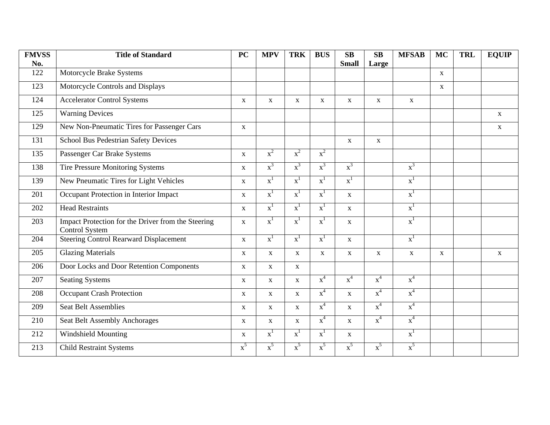| <b>FMVSS</b> | <b>Title of Standard</b>                                             | <b>PC</b>    | <b>MPV</b>     | <b>TRK</b>     | <b>BUS</b>     | SB             | SB          | <b>MFSAB</b>   | <b>MC</b>   | <b>TRL</b> | <b>EQUIP</b> |
|--------------|----------------------------------------------------------------------|--------------|----------------|----------------|----------------|----------------|-------------|----------------|-------------|------------|--------------|
| No.          |                                                                      |              |                |                |                | <b>Small</b>   | Large       |                |             |            |              |
| 122          | Motorcycle Brake Systems                                             |              |                |                |                |                |             |                | $\mathbf X$ |            |              |
| 123          | Motorcycle Controls and Displays                                     |              |                |                |                |                |             |                | $\mathbf X$ |            |              |
| 124          | <b>Accelerator Control Systems</b>                                   | $\mathbf X$  | $\mathbf X$    | $\mathbf X$    | $\mathbf X$    | $\mathbf X$    | $\mathbf X$ | $\mathbf{X}$   |             |            |              |
| 125          | <b>Warning Devices</b>                                               |              |                |                |                |                |             |                |             |            | $\mathbf X$  |
| 129          | New Non-Pneumatic Tires for Passenger Cars                           | $\mathbf{X}$ |                |                |                |                |             |                |             |            | $\mathbf X$  |
| 131          | <b>School Bus Pedestrian Safety Devices</b>                          |              |                |                |                | $\mathbf{X}$   | $\mathbf X$ |                |             |            |              |
| 135          | Passenger Car Brake Systems                                          | $\mathbf{X}$ | $x^2$          | $x^2$          | $x^2$          |                |             |                |             |            |              |
| 138          | <b>Tire Pressure Monitoring Systems</b>                              | $\mathbf{X}$ | $x^3$          | $x^3$          | $x^3$          | $x^3$          |             | $x^3$          |             |            |              |
| 139          | New Pneumatic Tires for Light Vehicles                               | X            | $\mathbf{x}^1$ | $x^1$          | $x^1$          | $\mathbf{x}^1$ |             | $\mathbf{x}^1$ |             |            |              |
| 201          | Occupant Protection in Interior Impact                               | $\mathbf X$  | $\mathbf{x}^1$ | $\mathbf{x}^1$ | $\mathbf{x}^1$ | $\mathbf{X}$   |             | $\mathbf{x}^1$ |             |            |              |
| 202          | <b>Head Restraints</b>                                               | X            | $\mathbf{x}^1$ | $\mathbf{x}^1$ | $x^1$          | $\mathbf{x}$   |             | $\mathbf{x}^1$ |             |            |              |
| 203          | Impact Protection for the Driver from the Steering<br>Control System | X            | $\mathbf{x}^1$ | $\mathbf{x}^1$ | $\mathbf{x}^1$ | $\mathbf X$    |             | $\mathbf{x}^1$ |             |            |              |
| 204          | <b>Steering Control Rearward Displacement</b>                        | $\mathbf X$  | $\mathbf{x}^1$ | $\mathbf{x}^1$ | $\mathbf{x}^1$ | $\mathbf X$    |             | $\mathbf{x}^1$ |             |            |              |
| 205          | <b>Glazing Materials</b>                                             | $\mathbf{X}$ | $\mathbf X$    | $\mathbf{X}$   | $\mathbf{X}$   | $\mathbf{X}$   | $\mathbf X$ | $\mathbf X$    | $\mathbf X$ |            | $\mathbf X$  |
| 206          | Door Locks and Door Retention Components                             | $\mathbf X$  | $\mathbf X$    | $\mathbf X$    |                |                |             |                |             |            |              |
| 207          | <b>Seating Systems</b>                                               | $\mathbf X$  | $\mathbf X$    | $\mathbf X$    | $x^4$          | $x^4$          | $x^4$       | $x^4$          |             |            |              |
| 208          | <b>Occupant Crash Protection</b>                                     | $\mathbf X$  | $\mathbf X$    | $\mathbf{X}$   | $x^4$          | $\mathbf{X}$   | $x^4$       | $x^4$          |             |            |              |
| 209          | <b>Seat Belt Assemblies</b>                                          | $\mathbf X$  | $\mathbf X$    | $\mathbf{X}$   | $x^4$          | $\mathbf{X}$   | $x^4$       | $x^4$          |             |            |              |
| 210          | Seat Belt Assembly Anchorages                                        | $\mathbf X$  | $\mathbf X$    | $\mathbf X$    | $x^4$          | $\mathbf X$    | $x^4$       | $x^4$          |             |            |              |
| 212          | Windshield Mounting                                                  | $\mathbf X$  | $\mathbf{x}^1$ | $x^1$          | $\mathbf{x}^1$ | $\mathbf X$    |             | $\mathbf{x}^1$ |             |            |              |
| 213          | <b>Child Restraint Systems</b>                                       | $x^5$        | $x^5$          | $x^5$          | $x^5$          | $x^5$          | $x^5$       | $x^5$          |             |            |              |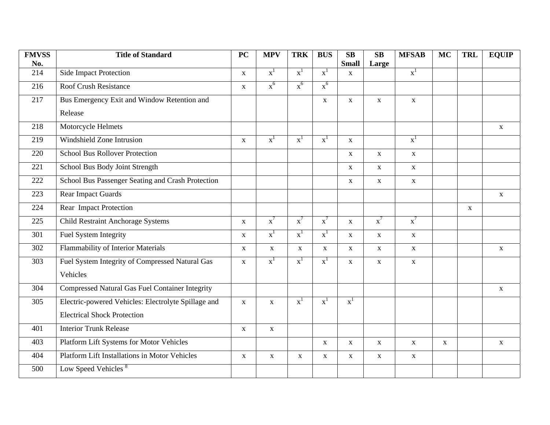| <b>FMVSS</b> | <b>Title of Standard</b>                               | <b>PC</b>    | <b>MPV</b>     | <b>TRK</b>     | <b>BUS</b>     | $\mathbf{S}\mathbf{B}$ | $\overline{\text{SB}}$ | <b>MFSAB</b>   | <b>MC</b>   | <b>TRL</b>   | <b>EQUIP</b> |
|--------------|--------------------------------------------------------|--------------|----------------|----------------|----------------|------------------------|------------------------|----------------|-------------|--------------|--------------|
| No.          |                                                        |              |                |                |                | <b>Small</b>           | Large                  |                |             |              |              |
| 214          | <b>Side Impact Protection</b>                          | $\mathbf X$  | $\mathbf{x}^1$ | $\mathbf{x}^1$ | $\mathbf{x}^1$ | $\mathbf X$            |                        | $\mathbf{x}^1$ |             |              |              |
| 216          | <b>Roof Crush Resistance</b>                           | $\mathbf X$  | $x^6$          | $x^6$          | $x^6$          |                        |                        |                |             |              |              |
| 217          | Bus Emergency Exit and Window Retention and            |              |                |                | $\mathbf X$    | $\mathbf X$            | $\mathbf X$            | $\mathbf X$    |             |              |              |
|              | Release                                                |              |                |                |                |                        |                        |                |             |              |              |
| 218          | Motorcycle Helmets                                     |              |                |                |                |                        |                        |                |             |              | $\mathbf X$  |
| 219          | Windshield Zone Intrusion                              | $\mathbf X$  | $\mathbf{x}^1$ | $\mathbf{x}^1$ | $\mathbf{x}^1$ | $\mathbf X$            |                        | $\mathbf{x}^1$ |             |              |              |
| 220          | <b>School Bus Rollover Protection</b>                  |              |                |                |                | $\mathbf X$            | $\mathbf X$            | $\mathbf X$    |             |              |              |
| 221          | School Bus Body Joint Strength                         |              |                |                |                | $\mathbf X$            | $\mathbf X$            | $\mathbf X$    |             |              |              |
| 222          | School Bus Passenger Seating and Crash Protection      |              |                |                |                | $\mathbf X$            | $\mathbf{X}$           | $\mathbf X$    |             |              |              |
| 223          | Rear Impact Guards                                     |              |                |                |                |                        |                        |                |             |              | $\mathbf X$  |
| 224          | Rear Impact Protection                                 |              |                |                |                |                        |                        |                |             | $\mathbf{X}$ |              |
| 225          | <b>Child Restraint Anchorage Systems</b>               | $\mathbf X$  | $\mathbf{x}^7$ | $\mathbf{x}^7$ | $x^7$          | $\mathbf X$            | $\mathbf{x}^7$         | $\mathbf{x}^7$ |             |              |              |
| 301          | Fuel System Integrity                                  | $\mathbf X$  | $\mathbf{x}^1$ | $\mathbf{x}^1$ | $\mathbf{x}^1$ | $\mathbf X$            | $\mathbf X$            | $\mathbf X$    |             |              |              |
| 302          | Flammability of Interior Materials                     | $\mathbf X$  | $\mathbf X$    | $\mathbf X$    | $\mathbf X$    | $\mathbf X$            | $\mathbf X$            | $\mathbf X$    |             |              | $\mathbf X$  |
| 303          | Fuel System Integrity of Compressed Natural Gas        | $\mathbf X$  | $\mathbf{x}^1$ | $\mathbf{x}^1$ | $\mathbf{x}^1$ | $\mathbf X$            | $\mathbf X$            | $\mathbf X$    |             |              |              |
|              | Vehicles                                               |              |                |                |                |                        |                        |                |             |              |              |
| 304          | <b>Compressed Natural Gas Fuel Container Integrity</b> |              |                |                |                |                        |                        |                |             |              | $\mathbf X$  |
| 305          | Electric-powered Vehicles: Electrolyte Spillage and    | $\mathbf{X}$ | $\mathbf X$    | $\mathbf{x}^1$ | $\mathbf{x}^1$ | $\mathbf{x}^1$         |                        |                |             |              |              |
|              | <b>Electrical Shock Protection</b>                     |              |                |                |                |                        |                        |                |             |              |              |
| 401          | <b>Interior Trunk Release</b>                          | $\mathbf{X}$ | $\mathbf{X}$   |                |                |                        |                        |                |             |              |              |
| 403          | Platform Lift Systems for Motor Vehicles               |              |                |                | $\mathbf X$    | $\mathbf X$            | $\mathbf X$            | $\mathbf X$    | $\mathbf X$ |              | $\mathbf X$  |
| 404          | <b>Platform Lift Installations in Motor Vehicles</b>   | $\mathbf X$  | $\mathbf X$    | $\mathbf X$    | $\mathbf X$    | $\mathbf X$            | $\mathbf{X}$           | $\mathbf X$    |             |              |              |
| 500          | Low Speed Vehicles <sup>8</sup>                        |              |                |                |                |                        |                        |                |             |              |              |